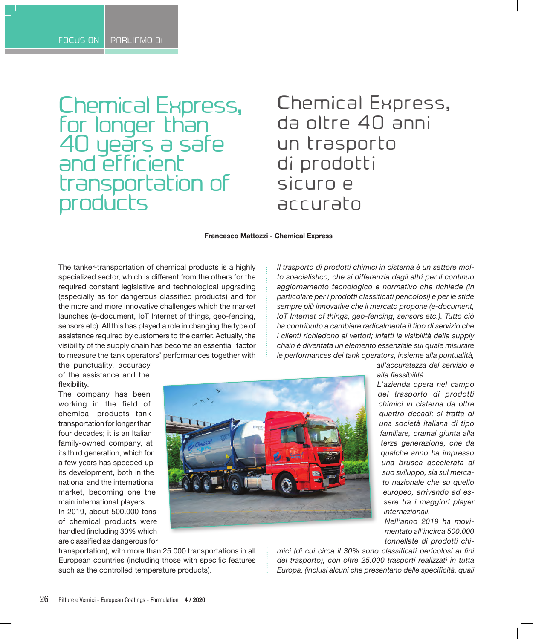Chemical Express, for longer than 40 years a safe and efficient transportation of products

## Chemical Express, da oltre 40 anni un trasporto di prodotti sicuro e accurato

**Francesco Mattozzi - Chemical Express**

The tanker-transportation of chemical products is a highly specialized sector, which is different from the others for the required constant legislative and technological upgrading (especially as for dangerous classified products) and for the more and more innovative challenges which the market launches (e-document, IoT Internet of things, geo-fencing, sensors etc). All this has played a role in changing the type of assistance required by customers to the carrier. Actually, the visibility of the supply chain has become an essential factor to measure the tank operators' performances together with

*Il trasporto di prodotti chimici in cisterna è un settore molto specialistico, che si differenzia dagli altri per il continuo aggiornamento tecnologico e normativo che richiede (in particolare per i prodotti classificati pericolosi) e per le sfide sempre più innovative che il mercato propone (e-document, IoT Internet of things, geo-fencing, sensors etc.). Tutto ciò ha contribuito a cambiare radicalmente il tipo di servizio che i clienti richiedono ai vettori; infatti la visibilità della supply chain è diventata un elemento essenziale sul quale misurare le performances dei tank operators, insieme alla puntualità,* 

the punctuality, accuracy of the assistance and the flexibility.

The company has been working in the field of chemical products tank transportation for longer than four decades; it is an Italian family-owned company, at its third generation, which for a few years has speeded up its development, both in the national and the international market, becoming one the main international players. In 2019, about 500.000 tons of chemical products were handled (including 30% which are classified as dangerous for



transportation), with more than 25.000 transportations in all European countries (including those with specific features such as the controlled temperature products).

*all'accuratezza del servizio e alla flessibilità.* 

*L'azienda opera nel campo del trasporto di prodotti chimici in cisterna da oltre quattro decadi; si tratta di una società italiana di tipo familiare, oramai giunta alla terza generazione, che da qualche anno ha impresso una brusca accelerata al suo sviluppo, sia sul mercato nazionale che su quello europeo, arrivando ad essere tra i maggiori player internazionali.*

*Nell'anno 2019 ha movimentato all'incirca 500.000 tonnellate di prodotti chi-*

*mici (di cui circa il 30% sono classificati pericolosi ai fini del trasporto), con oltre 25.000 trasporti realizzati in tutta Europa. (inclusi alcuni che presentano delle specificità, quali*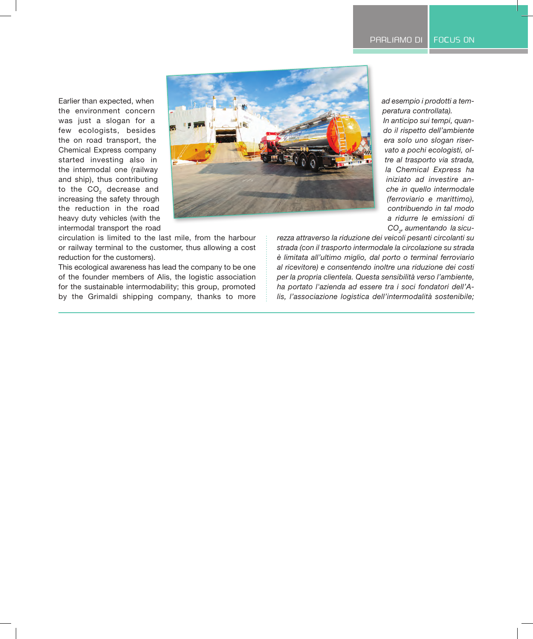Earlier than expected, when the environment concern was just a slogan for a few ecologists, besides the on road transport, the Chemical Express company started investing also in the intermodal one (railway and ship), thus contributing to the  $CO<sub>2</sub>$  decrease and increasing the safety through the reduction in the road heavy duty vehicles (with the intermodal transport the road



circulation is limited to the last mile, from the harbour or railway terminal to the customer, thus allowing a cost reduction for the customers).

This ecological awareness has lead the company to be one of the founder members of Alis, the logistic association for the sustainable intermodability; this group, promoted by the Grimaldi shipping company, thanks to more *ad esempio i prodotti a temperatura controllata).* 

*In anticipo sui tempi, quando il rispetto dell'ambiente era solo uno slogan riservato a pochi ecologisti, oltre al trasporto via strada, la Chemical Express ha iniziato ad investire anche in quello intermodale (ferroviario e marittimo), contribuendo in tal modo a ridurre le emissioni di CO2 , aumentando la sicu-*

*rezza attraverso la riduzione dei veicoli pesanti circolanti su strada (con il trasporto intermodale la circolazione su strada è limitata all'ultimo miglio, dal porto o terminal ferroviario al ricevitore) e consentendo inoltre una riduzione dei costi per la propria clientela. Questa sensibilità verso l'ambiente, ha portato l'azienda ad essere tra i soci fondatori dell'Alis, l'associazione logistica dell'intermodalità sostenibile;*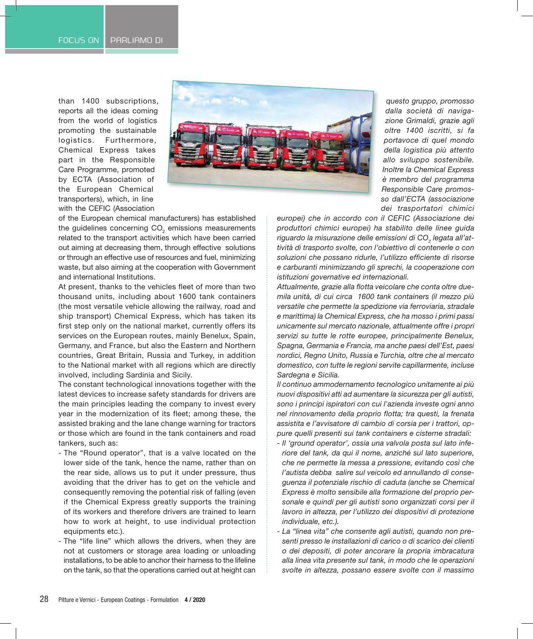than 1400 subscriptions, reports all the ideas coming from the world of logistics promoting the sustainable logistics. Furthermore, Chemical Express takes part in the Responsible Care Programme, promoted by ECTA (Association of the European Chemical transporters), which, in line with the CEFIC (Association



*questo gruppo, promosso dalla società di navigazione Grimaldi, grazie agli oltre 1400 iscritti, si fa portavoce di quel mondo della logistica più attento allo sviluppo sostenibile. Inoltre la Chemical Express è membro del programma Responsible Care promosso dall'ECTA (associazione dei trasportatori chimici*

of the European chemical manufacturers) has established the guidelines concerning CO<sub>2</sub> emissions measurements related to the transport activities which have been carried out aiming at decreasing them, through effective solutions or through an effective use of resources and fuel, minimizing waste, but also aiming at the cooperation with Government and international Institutions.

At present, thanks to the vehicles fleet of more than two thousand units, including about 1600 tank containers (the most versatile vehicle allowing the railway, road and ship transport) Chemical Express, which has taken its first step only on the national market, currently offers its services on the European routes, mainly Benelux, Spain, Germany, and France, but also the Eastern and Northern countries, Great Britain, Russia and Turkey, in addition to the National market with all regions which are directly involved, including Sardinia and Sicily.

The constant technological innovations together with the latest devices to increase safety standards for drivers are the main principles leading the company to invest every year in the modernization of its fleet; among these, the assisted braking and the lane change warning for tractors or those which are found in the tank containers and road tankers, such as:

- The "Round operator", that is a valve located on the lower side of the tank, hence the name, rather than on the rear side, allows us to put it under pressure, thus avoiding that the driver has to get on the vehicle and consequently removing the potential risk of falling (even if the Chemical Express greatly supports the training of its workers and therefore drivers are trained to learn how to work at height, to use individual protection equipments etc.).
- The "life line" which allows the drivers, when they are not at customers or storage area loading or unloading installations, to be able to anchor their harness to the lifeline on the tank, so that the operations carried out at height can

*europei) che in accordo con il CEFIC (Associazione dei produttori chimici europei) ha stabilito delle linee guida*  riguardo la misurazione delle emissioni di CO<sub>2</sub> legata all'at*tività di trasporto svolte, con l'obiettivo di contenerle o con soluzioni che possano ridurle, l'utilizzo efficiente di risorse e carburanti minimizzando gli sprechi, la cooperazione con istituzioni governative ed internazionali.* 

*Attualmente, grazie alla flotta veicolare che conta oltre duemila unità, di cui circa 1600 tank containers (il mezzo più versatile che permette la spedizione via ferroviaria, stradale e marittima) la Chemical Express, che ha mosso i primi passi unicamente sul mercato nazionale, attualmente offre i propri servizi su tutte le rotte europee, principalmente Benelux, Spagna, Germania e Francia, ma anche paesi dell'Est, paesi nordici, Regno Unito, Russia e Turchia, oltre che al mercato domestico, con tutte le regioni servite capillarmente, incluse Sardegna e Sicilia.* 

*Il continuo ammodernamento tecnologico unitamente ai più nuovi dispositivi atti ad aumentare la sicurezza per gli autisti, sono i principi ispiratori con cui l'azienda investe ogni anno nel rinnovamento della proprio flotta; tra questi, la frenata assistita e l'avvisatore di cambio di corsia per i trattori, oppure quelli presenti sui tank containers e cisterne stradali:* 

- *- Il 'ground operator', ossia una valvola posta sul lato inferiore del tank, da qui il nome, anziché sul lato superiore, che ne permette la messa a pressione, evitando così che l'autista debba salire sul veicolo ed annullando di conseguenza il potenziale rischio di caduta (anche se Chemical Express è molto sensibile alla formazione del proprio personale e quindi per gli autisti sono organizzati corsi per il lavoro in altezza, per l'utilizzo dei dispositivi di protezione individuale, etc.).*
- *- La "linea vita" che consente agli autisti, quando non presenti presso le installazioni di carico o di scarico dei clienti o dei depositi, di poter ancorare la propria imbracatura alla linea vita presente sul tank, in modo che le operazioni svolte in altezza, possano essere svolte con il massimo*